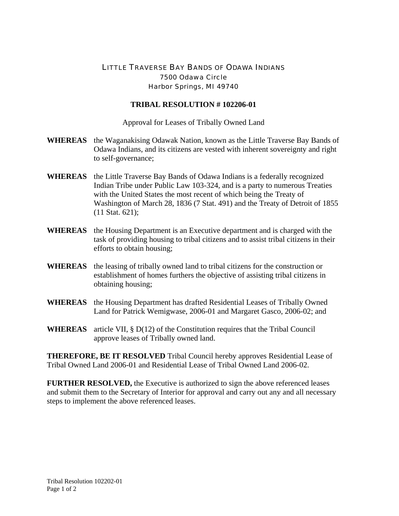## LITTLE TRAVERSE BAY BANDS OF ODAWA INDIANS 7500 Odawa Circle Harbor Springs, MI 49740

## **TRIBAL RESOLUTION # 102206-01**

Approval for Leases of Tribally Owned Land

- **WHEREAS** the Waganakising Odawak Nation, known as the Little Traverse Bay Bands of Odawa Indians, and its citizens are vested with inherent sovereignty and right to self-governance;
- **WHEREAS** the Little Traverse Bay Bands of Odawa Indians is a federally recognized Indian Tribe under Public Law 103-324, and is a party to numerous Treaties with the United States the most recent of which being the Treaty of Washington of March 28, 1836 (7 Stat. 491) and the Treaty of Detroit of 1855 (11 Stat. 621);
- **WHEREAS** the Housing Department is an Executive department and is charged with the task of providing housing to tribal citizens and to assist tribal citizens in their efforts to obtain housing;
- **WHEREAS** the leasing of tribally owned land to tribal citizens for the construction or establishment of homes furthers the objective of assisting tribal citizens in obtaining housing;
- **WHEREAS** the Housing Department has drafted Residential Leases of Tribally Owned Land for Patrick Wemigwase, 2006-01 and Margaret Gasco, 2006-02; and
- **WHEREAS** article VII, § D(12) of the Constitution requires that the Tribal Council approve leases of Tribally owned land.

**THEREFORE, BE IT RESOLVED** Tribal Council hereby approves Residential Lease of Tribal Owned Land 2006-01 and Residential Lease of Tribal Owned Land 2006-02.

**FURTHER RESOLVED,** the Executive is authorized to sign the above referenced leases and submit them to the Secretary of Interior for approval and carry out any and all necessary steps to implement the above referenced leases.